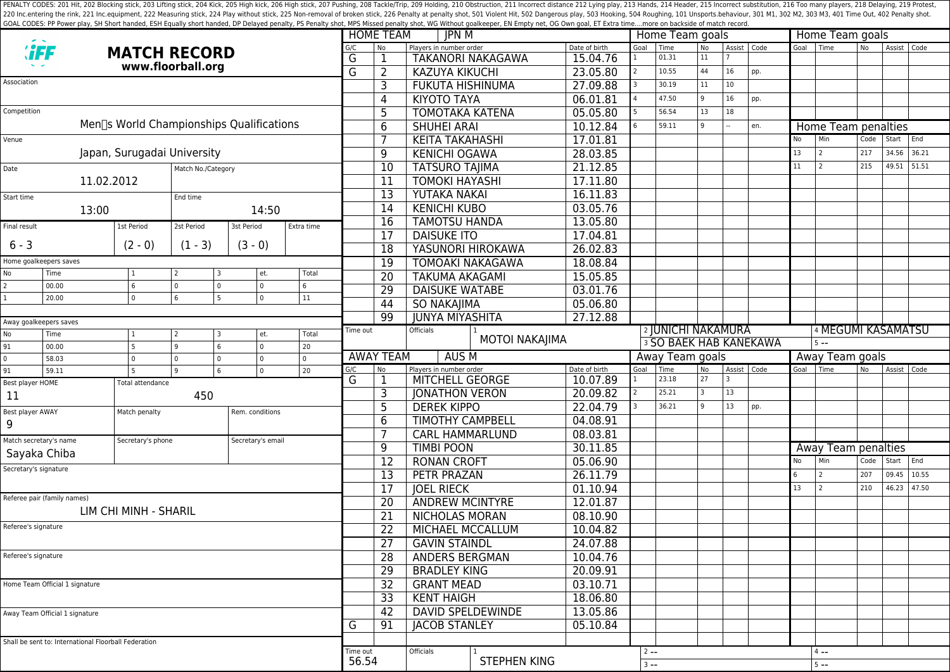PENALTY CODES: 201 Hit, 202 Blocking stick, 203 Lifting stick, 204 Kick, 204 Kick, 205 High kick, 204 Kick, 205 High kick, 206 High stick, 206 High stick, 206 High stick, 206 High stick, 207 Pushing, 208 Tackle/Trip, 209 H 220 Inc.entering the rink, 221 Inc.equipment, 222 Measuring stick, 224 Play without stick, 225 Non-removal of broken stick, 225 Poralty shot, 501 Violent Hit, 502 Dangerous play, 503 Hooking, 504 Roughing, 101 Unsports.beh GOAL CODES: PP Power play, SH Short handed, ESH Equally short handed, DP Delayed penalty, PS Penalty shot, MPS Missed penalty shot, WG Without goalkeeper, EN Empty net, OG Own goal, ET Extra time....more on backside of mat

|                                                                  |                                                      |               |                                          |                       |                        |                                                   | <b>HOME TEAM</b>         | JPN M                            |                                                  |                               | Home Team goals |                               |                 |      |               | Home Team goals |                     |      |               |             |  |
|------------------------------------------------------------------|------------------------------------------------------|---------------|------------------------------------------|-----------------------|------------------------|---------------------------------------------------|--------------------------|----------------------------------|--------------------------------------------------|-------------------------------|-----------------|-------------------------------|-----------------|------|---------------|-----------------|---------------------|------|---------------|-------------|--|
|                                                                  | <b>HEF</b>                                           |               | <b>MATCH RECORD</b>                      |                       |                        | G/C                                               | N <sub>o</sub>           | Players in number order          |                                                  | Date of birth                 | Goal            | Time<br>01.31                 | <b>No</b><br>11 |      | Assist   Code |                 | Goal Time           | No.  | Assist   Code |             |  |
| www.floorball.org                                                |                                                      |               |                                          |                       | G<br>G                 | 1                                                 | <b>TAKANORI NAKAGAWA</b> |                                  | 15.04.76<br>23.05.80                             | $\overline{2}$                |                 | 44                            | 16              |      |               |                 |                     |      |               |             |  |
| Association                                                      |                                                      |               |                                          |                       |                        |                                                   | $\overline{2}$           |                                  | <b>KAZUYA KIKUCHI</b><br><b>FUKUTA HISHINUMA</b> |                               |                 | 10.55                         |                 |      | pp.           |                 |                     |      |               |             |  |
|                                                                  |                                                      |               |                                          |                       |                        |                                                   | 3                        |                                  |                                                  | 27.09.88                      |                 | 30.19                         | 11              | 10   |               |                 |                     |      |               |             |  |
| Competition                                                      |                                                      |               |                                          |                       |                        |                                                   | 4                        | <b>KIYOTO TAYA</b>               |                                                  | 06.01.81                      |                 | 47.50                         | 9               | 16   | pp.           |                 |                     |      |               |             |  |
|                                                                  |                                                      |               | Men∏s World Championships Qualifications |                       |                        |                                                   | 5                        | <b>TOMOTAKA KATENA</b>           |                                                  | 05.05.80                      |                 | 56.54                         | 13              | 18   |               |                 |                     |      |               |             |  |
|                                                                  |                                                      |               |                                          |                       |                        |                                                   | 6                        | <b>SHUHEI ARAI</b>               |                                                  | 10.12.84                      |                 | 59.11                         |                 |      | en.           |                 | Home Team penalties |      |               |             |  |
| Venue                                                            |                                                      |               |                                          |                       |                        |                                                   | 7                        | <b>KEITA TAKAHASHI</b>           |                                                  | 17.01.81                      |                 |                               |                 |      |               | No              | Min                 | Code | Start         | End         |  |
| Japan, Surugadai University                                      |                                                      |               |                                          |                       |                        |                                                   | $\overline{9}$           | <b>KENICHI OGAWA</b>             |                                                  | 28.03.85                      |                 |                               |                 |      |               | 13              | 2                   | 217  | 34.56         | 36.21       |  |
| Date<br>Match No./Category                                       |                                                      |               |                                          |                       |                        |                                                   | $\overline{10}$          | <b>TATSURO TAJIMA</b>            |                                                  | 21.12.85                      |                 |                               |                 |      |               | 11              | 2                   | 215  | 49.51         | 51.51       |  |
|                                                                  | 11.02.2012                                           |               |                                          |                       |                        |                                                   | 11                       | <b>TOMOKI HAYASHI</b>            | 17.11.80                                         |                               |                 |                               |                 |      |               |                 |                     |      |               |             |  |
| Start time                                                       |                                                      |               | End time                                 |                       |                        |                                                   | 13                       | YUTAKA NAKAI                     |                                                  | 16.11.83                      |                 |                               |                 |      |               |                 |                     |      |               |             |  |
| 13:00<br>14:50                                                   |                                                      |               |                                          |                       |                        | $\overline{14}$                                   | <b>KENICHI KUBO</b>      | 03.05.76                         |                                                  |                               |                 |                               |                 |      |               |                 |                     |      |               |             |  |
| Final result                                                     |                                                      | 1st Period    | 2st Period                               | 3st Period            | Extra time             |                                                   | $\overline{16}$          | <b>TAMOTSU HANDA</b><br>13.05.80 |                                                  |                               |                 |                               |                 |      |               |                 |                     |      |               |             |  |
|                                                                  |                                                      |               |                                          |                       |                        |                                                   | 17                       | <b>DAISUKE ITO</b>               |                                                  | 17.04.81                      |                 |                               |                 |      |               |                 |                     |      |               |             |  |
| $6 - 3$                                                          |                                                      | $(2 - 0)$     | $(1 - 3)$                                | $(3 - 0)$             |                        |                                                   | 18                       | YASUNORI HIROKAWA                |                                                  | 26.02.83                      |                 |                               |                 |      |               |                 |                     |      |               |             |  |
| Home goalkeepers saves                                           |                                                      |               |                                          |                       |                        |                                                   | 19                       | <b>TOMOAKI NAKAGAWA</b>          |                                                  | 18.08.84                      |                 |                               |                 |      |               |                 |                     |      |               |             |  |
| No                                                               | Time                                                 | 6             | l 2<br>I٥                                | et.<br>$\overline{0}$ | Total<br>6             |                                                   | $\overline{20}$          | <b>TAKUMA AKAGAMI</b>            | 15.05.85                                         |                               |                 |                               |                 |      |               |                 |                     |      |               |             |  |
| 2                                                                | 00.00<br>20.00                                       | $\mathbf 0$   | $\mathbf 0$<br>l 6<br>5                  | $\mathbf 0$           | 11                     |                                                   | 29                       | <b>DAISUKE WATABE</b>            |                                                  | 03.01.76                      |                 |                               |                 |      |               |                 |                     |      |               |             |  |
|                                                                  |                                                      |               |                                          |                       |                        |                                                   | 44                       | <b>SO NAKAJIMA</b>               |                                                  |                               | 05.06.80        |                               |                 |      |               |                 |                     |      |               |             |  |
| Away goalkeepers saves                                           |                                                      |               |                                          |                       |                        |                                                   | 99                       | <b>JUNYA MIYASHITA</b>           |                                                  | 27.12.88                      |                 |                               |                 |      |               |                 |                     |      |               |             |  |
| No                                                               | Time                                                 |               | l 2<br>3                                 | et.                   | Total                  | Time out                                          |                          | Officials                        | <b>MOTOI NAKAJIMA</b>                            |                               |                 | <sup>2</sup> JUNICHI NAKAMURA |                 |      |               |                 | 4 MEGUMI KASAMATSU  |      |               |             |  |
| 91                                                               | 00.00                                                | 5             | 6<br>و ا                                 | $\mathsf 0$           | 20                     |                                                   |                          |                                  |                                                  | <b>3 SO BAEK HAB KANEKAWA</b> |                 |                               |                 |      | $5 - -$       |                 |                     |      |               |             |  |
| 0                                                                | 58.03                                                | $\mathbf 0$   | l 0<br>$\mathbf 0$                       | $\mathbf 0$           | $\Omega$               |                                                   | <b>AWAY TEAM</b>         | AUS M                            |                                                  |                               | Away Team goals |                               |                 |      |               |                 | Away Team goals     |      |               |             |  |
| 91                                                               | $\mathbf 0$<br>59.11<br>و ا<br>6<br>20               |               |                                          | G/C                   | No                     | Players in number order<br><b>MITCHELL GEORGE</b> |                          | Date of birth<br>10.07.89        | Goal                                             | Time<br>23.18                 | No<br>27        | Assist Code                   |                 | Goal | l Time        | l No            | Assist              | Code |               |             |  |
| Best player HOME<br>Total attendance                             |                                                      |               |                                          |                       | G                      | $\mathbf 1$                                       |                          |                                  | 20.09.82                                         |                               | 25.21           | $\overline{\mathbf{3}}$       | 13              |      |               |                 |                     |      |               |             |  |
| 11                                                               |                                                      |               | 450                                      |                       |                        |                                                   | 3                        | <b>JONATHON VERON</b>            |                                                  |                               | 36.21           | q                             | 13              |      |               |                 |                     |      |               |             |  |
| Best player AWAY                                                 |                                                      | Match penalty |                                          |                       | Rem. conditions        |                                                   | 5                        | <b>DEREK KIPPO</b>               |                                                  | 22.04.79                      |                 |                               |                 |      | pp.           |                 |                     |      |               |             |  |
| 9                                                                |                                                      |               |                                          |                       |                        |                                                   | 6                        | <b>TIMOTHY CAMPBELL</b>          |                                                  | 04.08.91                      |                 |                               |                 |      |               |                 |                     |      |               |             |  |
| Match secretary's name<br>Secretary's phone<br>Secretary's email |                                                      |               |                                          | 7                     | <b>CARL HAMMARLUND</b> |                                                   | 08.03.81                 |                                  |                                                  |                               |                 |                               |                 |      |               |                 |                     |      |               |             |  |
| Sayaka Chiba                                                     |                                                      |               |                                          |                       |                        |                                                   | 9                        | <b>TIMBI POON</b>                |                                                  | 30.11.85                      |                 |                               |                 |      |               |                 | Away Team penalties |      |               |             |  |
| Secretary's signature                                            |                                                      |               |                                          |                       | 12                     | <b>RONAN CROFT</b>                                |                          | 05.06.90                         |                                                  |                               |                 |                               |                 | No   | Min           | Code            | Start               | End  |               |             |  |
|                                                                  |                                                      |               |                                          |                       |                        |                                                   | $\overline{13}$          | <b>PETR PRAZAN</b>               |                                                  | 26.11.79                      |                 |                               |                 |      |               | 6               | $\overline{2}$      | 207  | 09.45         | 10.55       |  |
|                                                                  | Referee pair (family names)                          |               |                                          |                       |                        |                                                   | $\overline{17}$          | <b>JOEL RIECK</b>                |                                                  | 01.10.94                      |                 |                               |                 |      |               | 13              | 2                   | 210  |               | 46.23 47.50 |  |
| LIM CHI MINH - SHARIL                                            |                                                      |               |                                          |                       |                        |                                                   | 20                       | <b>ANDREW MCINTYRE</b>           |                                                  | 12.01.87                      |                 |                               |                 |      |               |                 |                     |      |               |             |  |
| Referee's signature                                              |                                                      |               |                                          |                       |                        |                                                   | 21                       | NICHOLAS MORAN                   |                                                  | 08.10.90                      |                 |                               |                 |      |               |                 |                     |      |               |             |  |
|                                                                  |                                                      |               |                                          |                       |                        |                                                   | $\overline{22}$          | MICHAEL MCCALLUM                 | 10.04.82                                         |                               |                 |                               |                 |      |               |                 |                     |      |               |             |  |
|                                                                  |                                                      |               |                                          |                       |                        |                                                   | 27                       | <b>GAVIN STAINDL</b>             |                                                  | 24.07.88                      |                 |                               |                 |      |               |                 |                     |      |               |             |  |
| Referee's signature                                              |                                                      |               |                                          |                       |                        |                                                   | 28                       | ANDERS BERGMAN                   |                                                  | 10.04.76                      |                 |                               |                 |      |               |                 |                     |      |               |             |  |
|                                                                  |                                                      |               |                                          |                       |                        |                                                   | 29                       | <b>BRADLEY KING</b>              |                                                  | 20.09.91                      |                 |                               |                 |      |               |                 |                     |      |               |             |  |
| Home Team Official 1 signature                                   |                                                      |               |                                          |                       |                        |                                                   | 32                       | <b>GRANT MEAD</b>                |                                                  | 03.10.71                      |                 |                               |                 |      |               |                 |                     |      |               |             |  |
|                                                                  |                                                      |               |                                          |                       |                        |                                                   | $\overline{33}$          | <b>KENT HAIGH</b>                |                                                  | 18.06.80                      |                 |                               |                 |      |               |                 |                     |      |               |             |  |
| Away Team Official 1 signature                                   |                                                      |               |                                          |                       |                        | $\overline{42}$                                   | DAVID SPELDEWINDE        |                                  | 13.05.86                                         |                               |                 |                               |                 |      |               |                 |                     |      |               |             |  |
|                                                                  |                                                      |               |                                          |                       | G                      | 91                                                | <b>JACOB STANLEY</b>     |                                  | 05.10.84                                         |                               |                 |                               |                 |      |               |                 |                     |      |               |             |  |
|                                                                  | Shall be sent to: International Floorball Federation |               |                                          |                       |                        |                                                   |                          |                                  |                                                  |                               |                 |                               |                 |      |               |                 |                     |      |               |             |  |
|                                                                  |                                                      |               |                                          |                       |                        | Time out                                          |                          | Officials                        | <b>STEPHEN KING</b>                              |                               | $2 - -$         |                               |                 |      |               |                 | $4 - -$             |      |               |             |  |
|                                                                  |                                                      |               |                                          |                       |                        | 56.54                                             |                          |                                  |                                                  | $3 - -$                       |                 |                               |                 |      |               | $5 - -$         |                     |      |               |             |  |